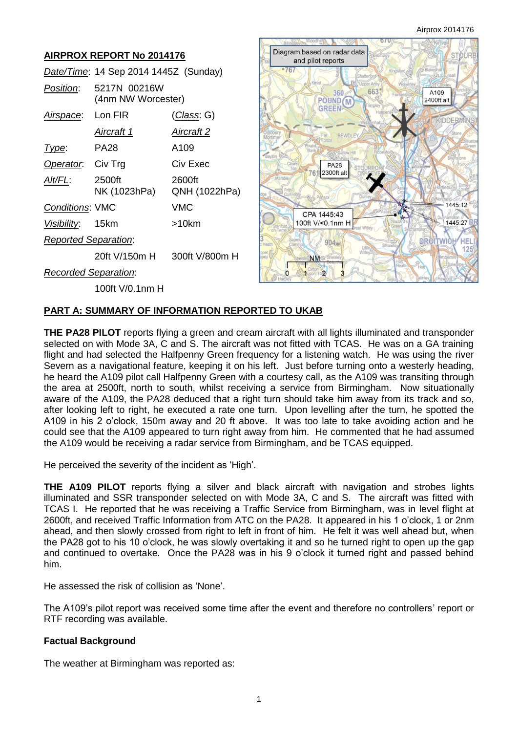| <b>AIRPROX REPORT No 2014176</b> |                                       |                         |  | Diagram based on radar data<br>and pilot reports        |                      |
|----------------------------------|---------------------------------------|-------------------------|--|---------------------------------------------------------|----------------------|
|                                  | Date/Time: 14 Sep 2014 1445Z (Sunday) |                         |  | $^{\circ}767$                                           |                      |
| Position:                        | 5217N 00216W<br>(4nm NW Worcester)    |                         |  | <b>Joper Aries</b><br>663<br>360<br>POUND <sub>(M</sub> | A109<br>2400ft alt   |
| Airspace:                        | Lon FIR                               | <u>(Class</u> : G)      |  | <b>GREEN</b>                                            | ∋DERM                |
|                                  | <u>Aircraft 1</u>                     | <u>Aircraft 2</u>       |  | BEWDLEY                                                 |                      |
| Type:                            | <b>PA28</b>                           | A109                    |  | Bayton                                                  |                      |
| Operator.                        | Civ Trg                               | Civ Exec                |  | <b>PA28</b><br>2300ft alt                               |                      |
| <u>Alt/FL:</u>                   | 2500ft<br>NK (1023hPa)                | 2600ft<br>QNH (1022hPa) |  |                                                         |                      |
| Conditions: VMC                  |                                       | <b>VMC</b>              |  | CPA 1445:43                                             | 1445:12              |
| Visibility:                      | 15km                                  | $>10$ km                |  | 100ft V/<0.1nm H                                        | 1445:27 DR           |
| <b>Reported Separation:</b>      |                                       |                         |  | 904 <sub>w</sub>                                        | DROI<br><b>TWIGH</b> |
|                                  | 20ft V/150m H                         | 300ft V/800m H          |  | <b>NM</b>                                               |                      |
| <b>Recorded Separation:</b>      |                                       |                         |  | ipon Te <sub>2</sub>                                    |                      |
|                                  | 100ft V/0.1nm H                       |                         |  |                                                         |                      |

## **PART A: SUMMARY OF INFORMATION REPORTED TO UKAB**

**THE PA28 PILOT** reports flying a green and cream aircraft with all lights illuminated and transponder selected on with Mode 3A, C and S. The aircraft was not fitted with TCAS. He was on a GA training flight and had selected the Halfpenny Green frequency for a listening watch. He was using the river Severn as a navigational feature, keeping it on his left. Just before turning onto a westerly heading, he heard the A109 pilot call Halfpenny Green with a courtesy call, as the A109 was transiting through the area at 2500ft, north to south, whilst receiving a service from Birmingham. Now situationally aware of the A109, the PA28 deduced that a right turn should take him away from its track and so, after looking left to right, he executed a rate one turn. Upon levelling after the turn, he spotted the A109 in his 2 o'clock, 150m away and 20 ft above. It was too late to take avoiding action and he could see that the A109 appeared to turn right away from him. He commented that he had assumed the A109 would be receiving a radar service from Birmingham, and be TCAS equipped.

He perceived the severity of the incident as 'High'.

**THE A109 PILOT** reports flying a silver and black aircraft with navigation and strobes lights illuminated and SSR transponder selected on with Mode 3A, C and S. The aircraft was fitted with TCAS I. He reported that he was receiving a Traffic Service from Birmingham, was in level flight at 2600ft, and received Traffic Information from ATC on the PA28. It appeared in his 1 o'clock, 1 or 2nm ahead, and then slowly crossed from right to left in front of him. He felt it was well ahead but, when the PA28 got to his 10 o'clock, he was slowly overtaking it and so he turned right to open up the gap and continued to overtake. Once the PA28 was in his 9 o'clock it turned right and passed behind him.

He assessed the risk of collision as 'None'.

The A109's pilot report was received some time after the event and therefore no controllers' report or RTF recording was available.

### **Factual Background**

The weather at Birmingham was reported as: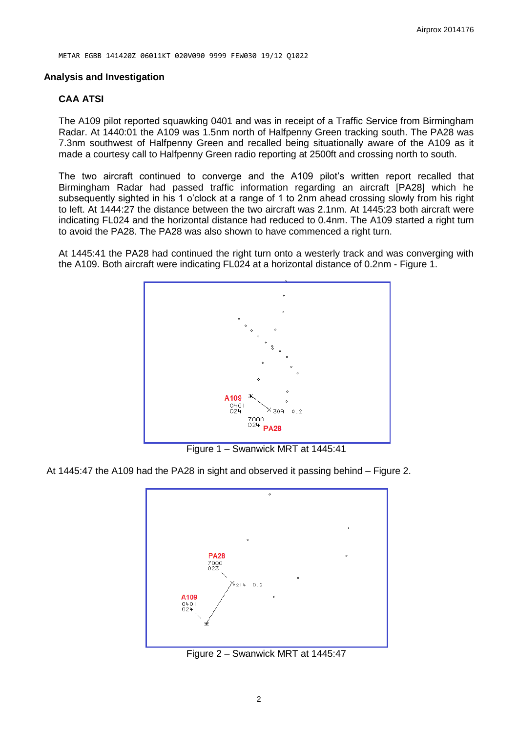#### **Analysis and Investigation**

#### **CAA ATSI**

The A109 pilot reported squawking 0401 and was in receipt of a Traffic Service from Birmingham Radar. At 1440:01 the A109 was 1.5nm north of Halfpenny Green tracking south. The PA28 was 7.3nm southwest of Halfpenny Green and recalled being situationally aware of the A109 as it made a courtesy call to Halfpenny Green radio reporting at 2500ft and crossing north to south.

The two aircraft continued to converge and the A109 pilot's written report recalled that Birmingham Radar had passed traffic information regarding an aircraft [PA28] which he subsequently sighted in his 1 o'clock at a range of 1 to 2nm ahead crossing slowly from his right to left. At 1444:27 the distance between the two aircraft was 2.1nm. At 1445:23 both aircraft were indicating FL024 and the horizontal distance had reduced to 0.4nm. The A109 started a right turn to avoid the PA28. The PA28 was also shown to have commenced a right turn.

At 1445:41 the PA28 had continued the right turn onto a westerly track and was converging with the A109. Both aircraft were indicating FL024 at a horizontal distance of 0.2nm - Figure 1.



Figure 1 – Swanwick MRT at 1445:41

At 1445:47 the A109 had the PA28 in sight and observed it passing behind – Figure 2.



Figure 2 – Swanwick MRT at 1445:47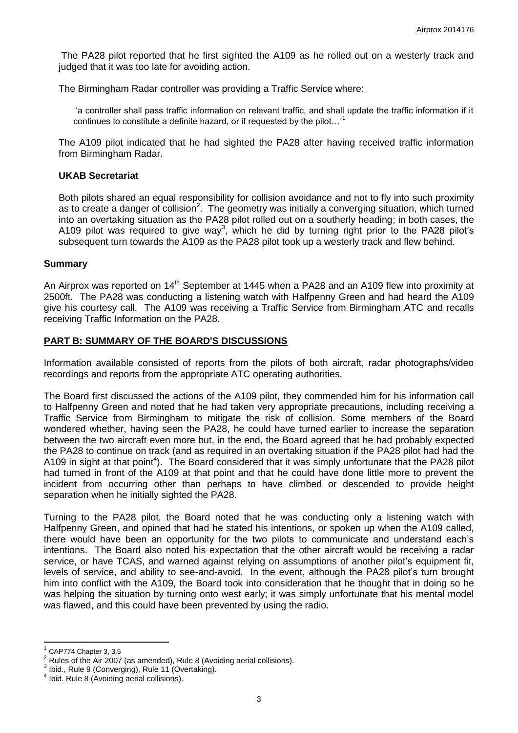The PA28 pilot reported that he first sighted the A109 as he rolled out on a westerly track and judged that it was too late for avoiding action.

The Birmingham Radar controller was providing a Traffic Service where:

'a controller shall pass traffic information on relevant traffic, and shall update the traffic information if it continues to constitute a definite hazard, or if requested by the pilot...'<sup>1</sup>

The A109 pilot indicated that he had sighted the PA28 after having received traffic information from Birmingham Radar.

#### **UKAB Secretariat**

Both pilots shared an equal responsibility for collision avoidance and not to fly into such proximity as to create a danger of collision<sup>2</sup>. The geometry was initially a converging situation, which turned into an overtaking situation as the PA28 pilot rolled out on a southerly heading; in both cases, the A109 pilot was required to give way<sup>3</sup>, which he did by turning right prior to the PA28 pilot's subsequent turn towards the A109 as the PA28 pilot took up a westerly track and flew behind.

#### **Summary**

An Airprox was reported on 14<sup>th</sup> September at 1445 when a PA28 and an A109 flew into proximity at 2500ft. The PA28 was conducting a listening watch with Halfpenny Green and had heard the A109 give his courtesy call. The A109 was receiving a Traffic Service from Birmingham ATC and recalls receiving Traffic Information on the PA28.

### **PART B: SUMMARY OF THE BOARD'S DISCUSSIONS**

Information available consisted of reports from the pilots of both aircraft, radar photographs/video recordings and reports from the appropriate ATC operating authorities.

The Board first discussed the actions of the A109 pilot, they commended him for his information call to Halfpenny Green and noted that he had taken very appropriate precautions, including receiving a Traffic Service from Birmingham to mitigate the risk of collision. Some members of the Board wondered whether, having seen the PA28, he could have turned earlier to increase the separation between the two aircraft even more but, in the end, the Board agreed that he had probably expected the PA28 to continue on track (and as required in an overtaking situation if the PA28 pilot had had the A109 in sight at that point<sup>4</sup>). The Board considered that it was simply unfortunate that the PA28 pilot had turned in front of the A109 at that point and that he could have done little more to prevent the incident from occurring other than perhaps to have climbed or descended to provide height separation when he initially sighted the PA28.

Turning to the PA28 pilot, the Board noted that he was conducting only a listening watch with Halfpenny Green, and opined that had he stated his intentions, or spoken up when the A109 called, there would have been an opportunity for the two pilots to communicate and understand each's intentions. The Board also noted his expectation that the other aircraft would be receiving a radar service, or have TCAS, and warned against relying on assumptions of another pilot's equipment fit, levels of service, and ability to see-and-avoid. In the event, although the PA28 pilot's turn brought him into conflict with the A109, the Board took into consideration that he thought that in doing so he was helping the situation by turning onto west early; it was simply unfortunate that his mental model was flawed, and this could have been prevented by using the radio.

 $\overline{a}$ 

<sup>1</sup> CAP774 Chapter 3, 3.5

<sup>2</sup> Rules of the Air 2007 (as amended), Rule 8 (Avoiding aerial collisions).

<sup>3</sup> Ibid., Rule 9 (Converging), Rule 11 (Overtaking).

<sup>4</sup> Ibid. Rule 8 (Avoiding aerial collisions).